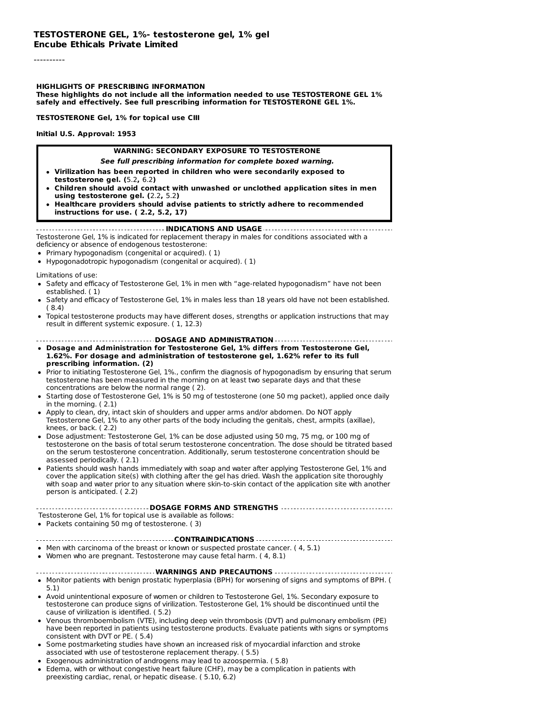----------

#### **HIGHLIGHTS OF PRESCRIBING INFORMATION**

**These highlights do not include all the information needed to use TESTOSTERONE GEL 1% safely and effectively. See full prescribing information for TESTOSTERONE GEL 1%.**

**TESTOSTERONE Gel, 1% for topical use CIII**

**Initial U.S. Approval: 1953**

#### **WARNING: SECONDARY EXPOSURE TO TESTOSTERONE**

#### **See full prescribing information for complete boxed warning.**

- **Virilization has been reported in children who were secondarily exposed to testosterone gel. (**5.2**,** 6.2**)**
- **Children should avoid contact with unwashed or unclothed application sites in men using testosterone gel. (**2.2**,** 5.2**)**
- **Healthcare providers should advise patients to strictly adhere to recommended instructions for use. ( 2.2, 5.2, 17)**

**INDICATIONS AND USAGE** Testosterone Gel, 1% is indicated for replacement therapy in males for conditions associated with a deficiency or absence of endogenous testosterone:

- Primary hypogonadism (congenital or acquired). ( 1)
- Hypogonadotropic hypogonadism (congenital or acquired). ( 1)

Limitations of use:

- Safety and efficacy of Testosterone Gel, 1% in men with "age-related hypogonadism" have not been established. ( 1)
- Safety and efficacy of Testosterone Gel, 1% in males less than 18 years old have not been established. ( 8.4)
- Topical testosterone products may have different doses, strengths or application instructions that may result in different systemic exposure. ( 1, 12.3)

**DOSAGE AND ADMINISTRATION**

- **Dosage and Administration for Testosterone Gel, 1% differs from Testosterone Gel, 1.62%. For dosage and administration of testosterone gel, 1.62% refer to its full prescribing information. (2)**
- Prior to initiating Testosterone Gel, 1%., confirm the diagnosis of hypogonadism by ensuring that serum testosterone has been measured in the morning on at least two separate days and that these concentrations are below the normal range ( 2).
- Starting dose of Testosterone Gel, 1% is 50 mg of testosterone (one 50 mg packet), applied once daily in the morning. ( 2.1)
- Apply to clean, dry, intact skin of shoulders and upper arms and/or abdomen. Do NOT apply Testosterone Gel, 1% to any other parts of the body including the genitals, chest, armpits (axillae), knees, or back. ( 2.2)
- Dose adjustment: Testosterone Gel, 1% can be dose adjusted using 50 mg, 75 mg, or 100 mg of testosterone on the basis of total serum testosterone concentration. The dose should be titrated based on the serum testosterone concentration. Additionally, serum testosterone concentration should be assessed periodically. ( 2.1)
- Patients should wash hands immediately with soap and water after applying Testosterone Gel, 1% and cover the application site(s) with clothing after the gel has dried. Wash the application site thoroughly with soap and water prior to any situation where skin-to-skin contact of the application site with another person is anticipated. ( 2.2)

#### **DOSAGE FORMS AND STRENGTHS** Testosterone Gel, 1% for topical use is available as follows: Packets containing 50 mg of testosterone. ( 3) **CONTRAINDICATIONS** Men with carcinoma of the breast or known or suspected prostate cancer.  $(4, 5.1)$ Women who are pregnant. Testosterone may cause fetal harm. ( 4, 8.1) **WARNINGS AND PRECAUTIONS** Monitor patients with benign prostatic hyperplasia (BPH) for worsening of signs and symptoms of BPH. ( 5.1)

- Avoid unintentional exposure of women or children to Testosterone Gel, 1%. Secondary exposure to testosterone can produce signs of virilization. Testosterone Gel, 1% should be discontinued until the cause of virilization is identified. ( 5.2)
- Venous thromboembolism (VTE), including deep vein thrombosis (DVT) and pulmonary embolism (PE) have been reported in patients using testosterone products. Evaluate patients with signs or symptoms consistent with DVT or PE. ( 5.4)
- Some postmarketing studies have shown an increased risk of myocardial infarction and stroke associated with use of testosterone replacement therapy. ( 5.5)
- Exogenous administration of androgens may lead to azoospermia. ( 5.8)
- Edema, with or without congestive heart failure (CHF), may be a complication in patients with preexisting cardiac, renal, or hepatic disease. ( 5.10, 6.2)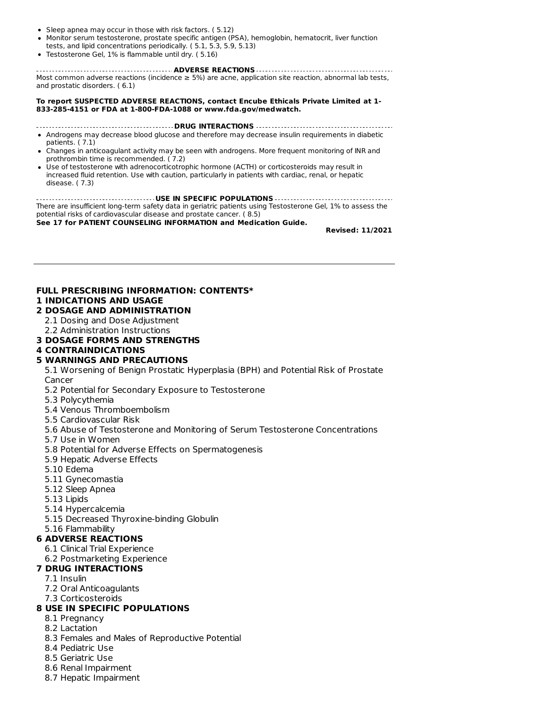- Sleep apnea may occur in those with risk factors. ( 5.12)
- Monitor serum testosterone, prostate specific antigen (PSA), hemoglobin, hematocrit, liver function tests, and lipid concentrations periodically. ( 5.1, 5.3, 5.9, 5.13)
- Testosterone Gel, 1% is flammable until dry. ( 5.16)

**ADVERSE REACTIONS** Most common adverse reactions (incidence ≥ 5%) are acne, application site reaction, abnormal lab tests, and prostatic disorders. ( 6.1)

#### **To report SUSPECTED ADVERSE REACTIONS, contact Encube Ethicals Private Limited at 1- 833-285-4151 or FDA at 1-800-FDA-1088 or www.fda.gov/medwatch.**

- **DRUG INTERACTIONS** Androgens may decrease blood glucose and therefore may decrease insulin requirements in diabetic patients. ( 7.1)
- Changes in anticoagulant activity may be seen with androgens. More frequent monitoring of INR and prothrombin time is recommended. ( 7.2)
- Use of testosterone with adrenocorticotrophic hormone (ACTH) or corticosteroids may result in increased fluid retention. Use with caution, particularly in patients with cardiac, renal, or hepatic disease. ( 7.3)

#### **USE IN SPECIFIC POPULATIONS**

There are insufficient long-term safety data in geriatric patients using Testosterone Gel, 1% to assess the potential risks of cardiovascular disease and prostate cancer. ( 8.5)

**See 17 for PATIENT COUNSELING INFORMATION and Medication Guide.**

**Revised: 11/2021**

### **FULL PRESCRIBING INFORMATION: CONTENTS\* 1 INDICATIONS AND USAGE**

### **2 DOSAGE AND ADMINISTRATION**

- 2.1 Dosing and Dose Adjustment
- 2.2 Administration Instructions

### **3 DOSAGE FORMS AND STRENGTHS**

#### **4 CONTRAINDICATIONS**

### **5 WARNINGS AND PRECAUTIONS**

5.1 Worsening of Benign Prostatic Hyperplasia (BPH) and Potential Risk of Prostate Cancer

5.2 Potential for Secondary Exposure to Testosterone

5.3 Polycythemia

- 5.4 Venous Thromboembolism
- 5.5 Cardiovascular Risk
- 5.6 Abuse of Testosterone and Monitoring of Serum Testosterone Concentrations

#### 5.7 Use in Women

- 5.8 Potential for Adverse Effects on Spermatogenesis
- 5.9 Hepatic Adverse Effects
- 5.10 Edema
- 5.11 Gynecomastia
- 5.12 Sleep Apnea
- 5.13 Lipids
- 5.14 Hypercalcemia
- 5.15 Decreased Thyroxine-binding Globulin

# 5.16 Flammability

## **6 ADVERSE REACTIONS**

6.1 Clinical Trial Experience

## 6.2 Postmarketing Experience

### **7 DRUG INTERACTIONS**

- 7.1 Insulin
- 7.2 Oral Anticoagulants
- 7.3 Corticosteroids

### **8 USE IN SPECIFIC POPULATIONS**

- 8.1 Pregnancy
- 8.2 Lactation
- 8.3 Females and Males of Reproductive Potential
- 8.4 Pediatric Use
- 8.5 Geriatric Use
- 8.6 Renal Impairment
- 8.7 Hepatic Impairment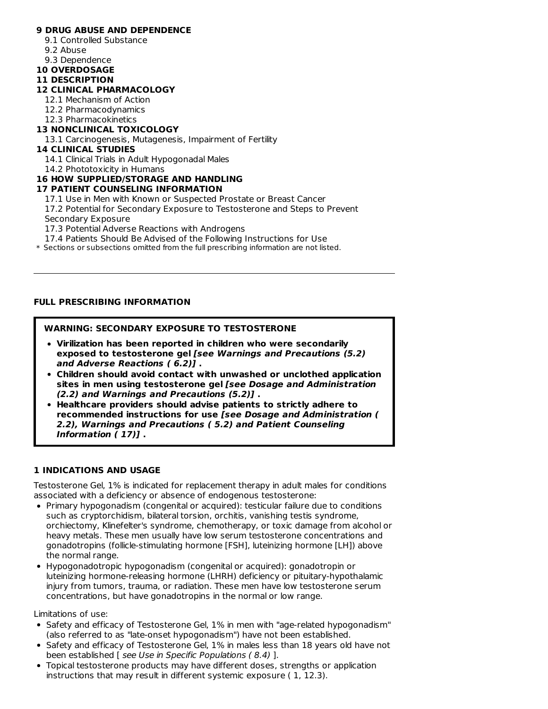### **9 DRUG ABUSE AND DEPENDENCE**

- 9.1 Controlled Substance
- 9.2 Abuse
- 9.3 Dependence
- **10 OVERDOSAGE**

### **11 DESCRIPTION**

### **12 CLINICAL PHARMACOLOGY**

- 12.1 Mechanism of Action
- 12.2 Pharmacodynamics
- 12.3 Pharmacokinetics

### **13 NONCLINICAL TOXICOLOGY**

13.1 Carcinogenesis, Mutagenesis, Impairment of Fertility

### **14 CLINICAL STUDIES**

- 14.1 Clinical Trials in Adult Hypogonadal Males
- 14.2 Phototoxicity in Humans

## **16 HOW SUPPLIED/STORAGE AND HANDLING**

### **17 PATIENT COUNSELING INFORMATION**

17.1 Use in Men with Known or Suspected Prostate or Breast Cancer

17.2 Potential for Secondary Exposure to Testosterone and Steps to Prevent Secondary Exposure

17.3 Potential Adverse Reactions with Androgens

17.4 Patients Should Be Advised of the Following Instructions for Use

\* Sections or subsections omitted from the full prescribing information are not listed.

### **FULL PRESCRIBING INFORMATION**

### **WARNING: SECONDARY EXPOSURE TO TESTOSTERONE**

- **Virilization has been reported in children who were secondarily exposed to testosterone gel [see Warnings and Precautions (5.2) and Adverse Reactions ( 6.2)] .**
- **Children should avoid contact with unwashed or unclothed application sites in men using testosterone gel [see Dosage and Administration (2.2) and Warnings and Precautions (5.2)] .**
- **Healthcare providers should advise patients to strictly adhere to recommended instructions for use [see Dosage and Administration ( 2.2), Warnings and Precautions ( 5.2) and Patient Counseling Information ( 17)] .**

### **1 INDICATIONS AND USAGE**

Testosterone Gel, 1% is indicated for replacement therapy in adult males for conditions associated with a deficiency or absence of endogenous testosterone:

- Primary hypogonadism (congenital or acquired): testicular failure due to conditions such as cryptorchidism, bilateral torsion, orchitis, vanishing testis syndrome, orchiectomy, Klinefelter's syndrome, chemotherapy, or toxic damage from alcohol or heavy metals. These men usually have low serum testosterone concentrations and gonadotropins (follicle-stimulating hormone [FSH], luteinizing hormone [LH]) above the normal range.
- Hypogonadotropic hypogonadism (congenital or acquired): gonadotropin or luteinizing hormone-releasing hormone (LHRH) deficiency or pituitary-hypothalamic injury from tumors, trauma, or radiation. These men have low testosterone serum concentrations, but have gonadotropins in the normal or low range.

Limitations of use:

- Safety and efficacy of Testosterone Gel, 1% in men with "age-related hypogonadism" (also referred to as "late-onset hypogonadism") have not been established.
- Safety and efficacy of Testosterone Gel, 1% in males less than 18 years old have not been established [ see Use in Specific Populations ( 8.4) ].
- Topical testosterone products may have different doses, strengths or application instructions that may result in different systemic exposure ( 1, 12.3).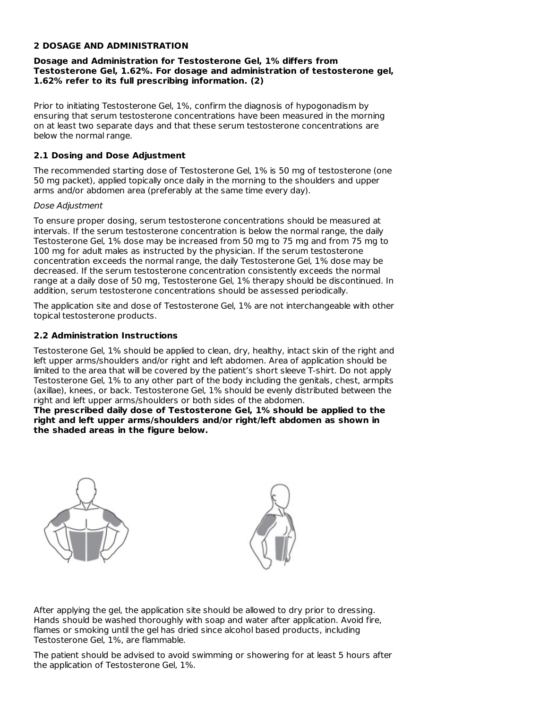### **2 DOSAGE AND ADMINISTRATION**

### **Dosage and Administration for Testosterone Gel, 1% differs from Testosterone Gel, 1.62%. For dosage and administration of testosterone gel, 1.62% refer to its full prescribing information. (2)**

Prior to initiating Testosterone Gel, 1%, confirm the diagnosis of hypogonadism by ensuring that serum testosterone concentrations have been measured in the morning on at least two separate days and that these serum testosterone concentrations are below the normal range.

### **2.1 Dosing and Dose Adjustment**

The recommended starting dose of Testosterone Gel, 1% is 50 mg of testosterone (one 50 mg packet), applied topically once daily in the morning to the shoulders and upper arms and/or abdomen area (preferably at the same time every day).

### Dose Adjustment

To ensure proper dosing, serum testosterone concentrations should be measured at intervals. If the serum testosterone concentration is below the normal range, the daily Testosterone Gel, 1% dose may be increased from 50 mg to 75 mg and from 75 mg to 100 mg for adult males as instructed by the physician. If the serum testosterone concentration exceeds the normal range, the daily Testosterone Gel, 1% dose may be decreased. If the serum testosterone concentration consistently exceeds the normal range at a daily dose of 50 mg, Testosterone Gel, 1% therapy should be discontinued. In addition, serum testosterone concentrations should be assessed periodically.

The application site and dose of Testosterone Gel, 1% are not interchangeable with other topical testosterone products.

### **2.2 Administration Instructions**

Testosterone Gel, 1% should be applied to clean, dry, healthy, intact skin of the right and left upper arms/shoulders and/or right and left abdomen. Area of application should be limited to the area that will be covered by the patient's short sleeve T-shirt. Do not apply Testosterone Gel, 1% to any other part of the body including the genitals, chest, armpits (axillae), knees, or back. Testosterone Gel, 1% should be evenly distributed between the right and left upper arms/shoulders or both sides of the abdomen.

**The prescribed daily dose of Testosterone Gel, 1% should be applied to the right and left upper arms/shoulders and/or right/left abdomen as shown in the shaded areas in the figure below.**



After applying the gel, the application site should be allowed to dry prior to dressing. Hands should be washed thoroughly with soap and water after application. Avoid fire, flames or smoking until the gel has dried since alcohol based products, including Testosterone Gel, 1%, are flammable.

The patient should be advised to avoid swimming or showering for at least 5 hours after the application of Testosterone Gel, 1%.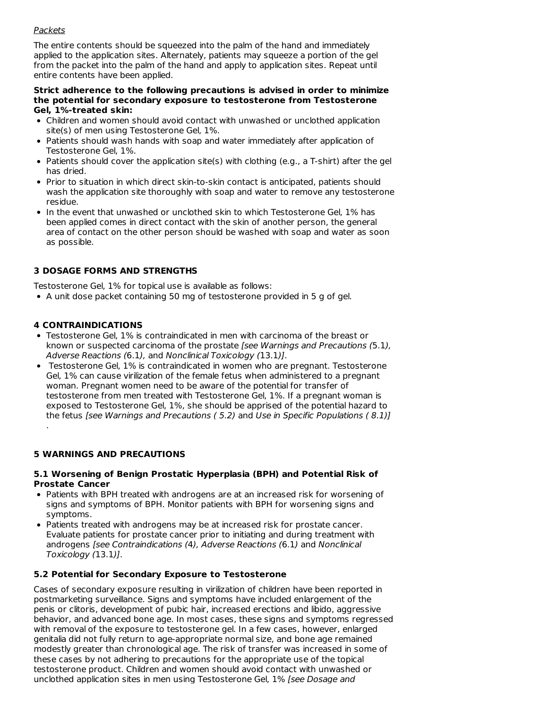### Packets

The entire contents should be squeezed into the palm of the hand and immediately applied to the application sites. Alternately, patients may squeeze a portion of the gel from the packet into the palm of the hand and apply to application sites. Repeat until entire contents have been applied.

#### **Strict adherence to the following precautions is advised in order to minimize the potential for secondary exposure to testosterone from Testosterone Gel, 1%-treated skin:**

- Children and women should avoid contact with unwashed or unclothed application site(s) of men using Testosterone Gel, 1%.
- Patients should wash hands with soap and water immediately after application of Testosterone Gel, 1%.
- Patients should cover the application site(s) with clothing (e.g., a T-shirt) after the gel has dried.
- Prior to situation in which direct skin-to-skin contact is anticipated, patients should wash the application site thoroughly with soap and water to remove any testosterone residue.
- In the event that unwashed or unclothed skin to which Testosterone Gel, 1% has been applied comes in direct contact with the skin of another person, the general area of contact on the other person should be washed with soap and water as soon as possible.

## **3 DOSAGE FORMS AND STRENGTHS**

Testosterone Gel, 1% for topical use is available as follows:

A unit dose packet containing 50 mg of testosterone provided in 5 g of gel.

## **4 CONTRAINDICATIONS**

.

- Testosterone Gel, 1% is contraindicated in men with carcinoma of the breast or known or suspected carcinoma of the prostate [see Warnings and Precautions (5.1), Adverse Reactions (6.1), and Nonclinical Toxicology (13.1)].
- Testosterone Gel, 1% is contraindicated in women who are pregnant. Testosterone Gel, 1% can cause virilization of the female fetus when administered to a pregnant woman. Pregnant women need to be aware of the potential for transfer of testosterone from men treated with Testosterone Gel, 1%. If a pregnant woman is exposed to Testosterone Gel, 1%, she should be apprised of the potential hazard to the fetus [see Warnings and Precautions ( 5.2) and Use in Specific Populations ( 8.1)]

### **5 WARNINGS AND PRECAUTIONS**

### **5.1 Worsening of Benign Prostatic Hyperplasia (BPH) and Potential Risk of Prostate Cancer**

- Patients with BPH treated with androgens are at an increased risk for worsening of signs and symptoms of BPH. Monitor patients with BPH for worsening signs and symptoms.
- Patients treated with androgens may be at increased risk for prostate cancer. Evaluate patients for prostate cancer prior to initiating and during treatment with androgens [see Contraindications (4), Adverse Reactions (6.1) and Nonclinical Toxicology (13.1)].

### **5.2 Potential for Secondary Exposure to Testosterone**

Cases of secondary exposure resulting in virilization of children have been reported in postmarketing surveillance. Signs and symptoms have included enlargement of the penis or clitoris, development of pubic hair, increased erections and libido, aggressive behavior, and advanced bone age. In most cases, these signs and symptoms regressed with removal of the exposure to testosterone gel. In a few cases, however, enlarged genitalia did not fully return to age-appropriate normal size, and bone age remained modestly greater than chronological age. The risk of transfer was increased in some of these cases by not adhering to precautions for the appropriate use of the topical testosterone product. Children and women should avoid contact with unwashed or unclothed application sites in men using Testosterone Gel, 1% [see Dosage and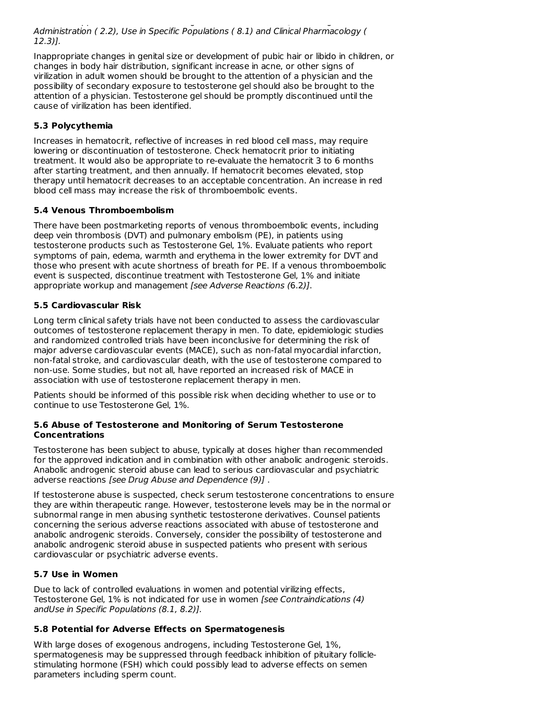unclothed application sites in men using Testosterone Gel, 1% [see Dosage and Administration ( 2.2), Use in Specific Populations ( 8.1) and Clinical Pharmacology ( 12.3)].

Inappropriate changes in genital size or development of pubic hair or libido in children, or changes in body hair distribution, significant increase in acne, or other signs of virilization in adult women should be brought to the attention of a physician and the possibility of secondary exposure to testosterone gel should also be brought to the attention of a physician. Testosterone gel should be promptly discontinued until the cause of virilization has been identified.

### **5.3 Polycythemia**

Increases in hematocrit, reflective of increases in red blood cell mass, may require lowering or discontinuation of testosterone. Check hematocrit prior to initiating treatment. It would also be appropriate to re-evaluate the hematocrit 3 to 6 months after starting treatment, and then annually. If hematocrit becomes elevated, stop therapy until hematocrit decreases to an acceptable concentration. An increase in red blood cell mass may increase the risk of thromboembolic events.

### **5.4 Venous Thromboembolism**

There have been postmarketing reports of venous thromboembolic events, including deep vein thrombosis (DVT) and pulmonary embolism (PE), in patients using testosterone products such as Testosterone Gel, 1%. Evaluate patients who report symptoms of pain, edema, warmth and erythema in the lower extremity for DVT and those who present with acute shortness of breath for PE. If a venous thromboembolic event is suspected, discontinue treatment with Testosterone Gel, 1% and initiate appropriate workup and management [see Adverse Reactions (6.2)].

### **5.5 Cardiovascular Risk**

Long term clinical safety trials have not been conducted to assess the cardiovascular outcomes of testosterone replacement therapy in men. To date, epidemiologic studies and randomized controlled trials have been inconclusive for determining the risk of major adverse cardiovascular events (MACE), such as non-fatal myocardial infarction, non-fatal stroke, and cardiovascular death, with the use of testosterone compared to non-use. Some studies, but not all, have reported an increased risk of MACE in association with use of testosterone replacement therapy in men.

Patients should be informed of this possible risk when deciding whether to use or to continue to use Testosterone Gel, 1%.

### **5.6 Abuse of Testosterone and Monitoring of Serum Testosterone Concentrations**

Testosterone has been subject to abuse, typically at doses higher than recommended for the approved indication and in combination with other anabolic androgenic steroids. Anabolic androgenic steroid abuse can lead to serious cardiovascular and psychiatric adverse reactions [see Drug Abuse and Dependence (9)] .

If testosterone abuse is suspected, check serum testosterone concentrations to ensure they are within therapeutic range. However, testosterone levels may be in the normal or subnormal range in men abusing synthetic testosterone derivatives. Counsel patients concerning the serious adverse reactions associated with abuse of testosterone and anabolic androgenic steroids. Conversely, consider the possibility of testosterone and anabolic androgenic steroid abuse in suspected patients who present with serious cardiovascular or psychiatric adverse events.

### **5.7 Use in Women**

Due to lack of controlled evaluations in women and potential virilizing effects, Testosterone Gel, 1% is not indicated for use in women [see Contraindications (4) andUse in Specific Populations (8.1, 8.2)].

### **5.8 Potential for Adverse Effects on Spermatogenesis**

With large doses of exogenous androgens, including Testosterone Gel, 1%, spermatogenesis may be suppressed through feedback inhibition of pituitary folliclestimulating hormone (FSH) which could possibly lead to adverse effects on semen parameters including sperm count.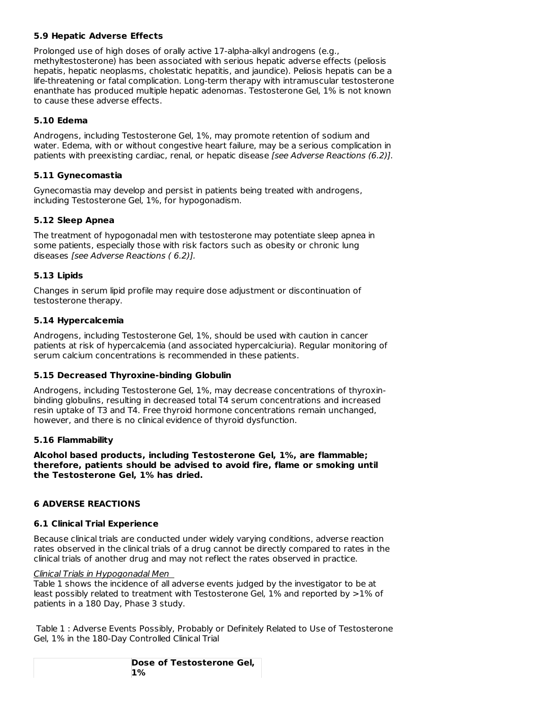### **5.9 Hepatic Adverse Effects**

Prolonged use of high doses of orally active 17-alpha-alkyl androgens (e.g., methyltestosterone) has been associated with serious hepatic adverse effects (peliosis hepatis, hepatic neoplasms, cholestatic hepatitis, and jaundice). Peliosis hepatis can be a life-threatening or fatal complication. Long-term therapy with intramuscular testosterone enanthate has produced multiple hepatic adenomas. Testosterone Gel, 1% is not known to cause these adverse effects.

### **5.10 Edema**

Androgens, including Testosterone Gel, 1%, may promote retention of sodium and water. Edema, with or without congestive heart failure, may be a serious complication in patients with preexisting cardiac, renal, or hepatic disease [see Adverse Reactions (6.2)].

### **5.11 Gynecomastia**

Gynecomastia may develop and persist in patients being treated with androgens, including Testosterone Gel, 1%, for hypogonadism.

### **5.12 Sleep Apnea**

The treatment of hypogonadal men with testosterone may potentiate sleep apnea in some patients, especially those with risk factors such as obesity or chronic lung diseases [see Adverse Reactions ( 6.2)].

### **5.13 Lipids**

Changes in serum lipid profile may require dose adjustment or discontinuation of testosterone therapy.

### **5.14 Hypercalcemia**

Androgens, including Testosterone Gel, 1%, should be used with caution in cancer patients at risk of hypercalcemia (and associated hypercalciuria). Regular monitoring of serum calcium concentrations is recommended in these patients.

### **5.15 Decreased Thyroxine-binding Globulin**

Androgens, including Testosterone Gel, 1%, may decrease concentrations of thyroxinbinding globulins, resulting in decreased total T4 serum concentrations and increased resin uptake of T3 and T4. Free thyroid hormone concentrations remain unchanged, however, and there is no clinical evidence of thyroid dysfunction.

### **5.16 Flammability**

**Alcohol based products, including Testosterone Gel, 1%, are flammable; therefore, patients should be advised to avoid fire, flame or smoking until the Testosterone Gel, 1% has dried.**

### **6 ADVERSE REACTIONS**

### **6.1 Clinical Trial Experience**

Because clinical trials are conducted under widely varying conditions, adverse reaction rates observed in the clinical trials of a drug cannot be directly compared to rates in the clinical trials of another drug and may not reflect the rates observed in practice.

### Clinical Trials in Hypogonadal Men

Table 1 shows the incidence of all adverse events judged by the investigator to be at least possibly related to treatment with Testosterone Gel, 1% and reported by >1% of patients in a 180 Day, Phase 3 study.

Table 1 : Adverse Events Possibly, Probably or Definitely Related to Use of Testosterone Gel, 1% in the 180-Day Controlled Clinical Trial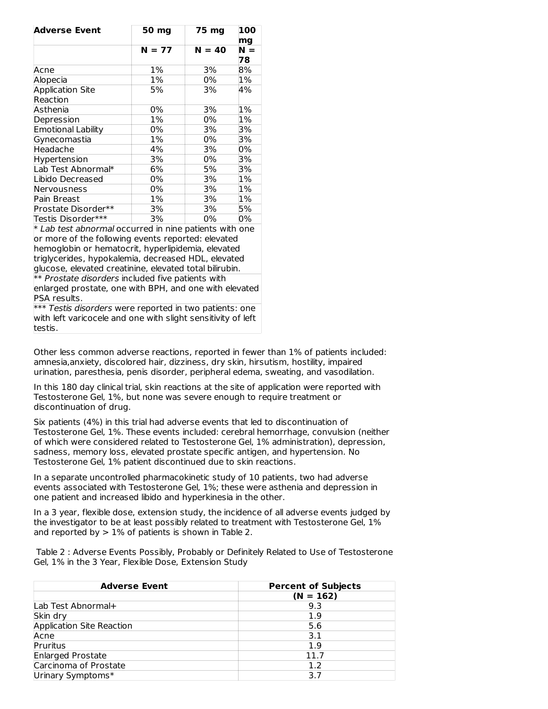| 50 mg    | 75 mg    | 100<br>mg |
|----------|----------|-----------|
| $N = 77$ | $N = 40$ | $N =$     |
|          |          | 78        |
| $1\%$    | 3%       | 8%        |
| 1%       | 0%       | 1%        |
| 5%       | 3%       | 4%        |
|          |          |           |
| 0%       | 3%       | 1%        |
| $1\%$    | 0%       | 1%        |
| 0%       | 3%       | 3%        |
| $1\%$    | 0%       | 3%        |
| 4%       | 3%       | 0%        |
| 3%       | 0%       | 3%        |
| 6%       | 5%       | 3%        |
| 0%       | 3%       | 1%        |
| 0%       | 3%       | 1%        |
| 1%       | 3%       | $1\%$     |
| 3%       | 3%       | 5%        |
| 3%       | 0%       | 0%        |
|          |          |           |

 $*$  Lab test abnormal occurred in nine patients with one or more of the following events reported: elevated hemoglobin or hematocrit, hyperlipidemia, elevated triglycerides, hypokalemia, decreased HDL, elevated glucose, elevated creatinine, elevated total bilirubin.

\*\* Prostate disorders included five patients with enlarged prostate, one with BPH, and one with elevated PSA results.

\*\*\* Testis disorders were reported in two patients: one with left varicocele and one with slight sensitivity of left testis.

Other less common adverse reactions, reported in fewer than 1% of patients included: amnesia,anxiety, discolored hair, dizziness, dry skin, hirsutism, hostility, impaired urination, paresthesia, penis disorder, peripheral edema, sweating, and vasodilation.

In this 180 day clinical trial, skin reactions at the site of application were reported with Testosterone Gel, 1%, but none was severe enough to require treatment or discontinuation of drug.

Six patients (4%) in this trial had adverse events that led to discontinuation of Testosterone Gel, 1%. These events included: cerebral hemorrhage, convulsion (neither of which were considered related to Testosterone Gel, 1% administration), depression, sadness, memory loss, elevated prostate specific antigen, and hypertension. No Testosterone Gel, 1% patient discontinued due to skin reactions.

In a separate uncontrolled pharmacokinetic study of 10 patients, two had adverse events associated with Testosterone Gel, 1%; these were asthenia and depression in one patient and increased libido and hyperkinesia in the other.

In a 3 year, flexible dose, extension study, the incidence of all adverse events judged by the investigator to be at least possibly related to treatment with Testosterone Gel, 1% and reported by  $> 1\%$  of patients is shown in Table 2.

Table 2 : Adverse Events Possibly, Probably or Definitely Related to Use of Testosterone Gel, 1% in the 3 Year, Flexible Dose, Extension Study

| <b>Adverse Event</b>      | <b>Percent of Subjects</b> |
|---------------------------|----------------------------|
|                           | $(N = 162)$                |
| Lab Test Abnormal+        | 9.3                        |
| Skin dry                  | 1.9                        |
| Application Site Reaction | 5.6                        |
| Acne                      | 3.1                        |
| Pruritus                  | 1.9                        |
| <b>Enlarged Prostate</b>  | 11.7                       |
| Carcinoma of Prostate     | 1.2                        |
| Urinary Symptoms*         | 3.7                        |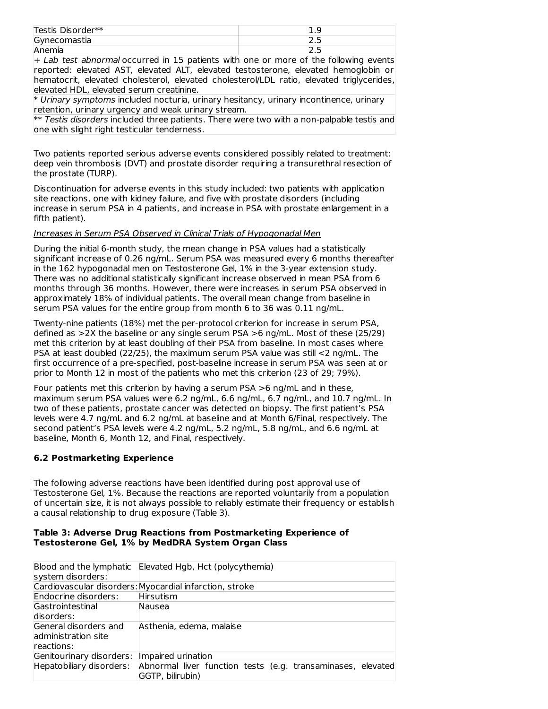| Testis Disorder** | ∸.J   |
|-------------------|-------|
| Gynecomastia      | ر . ے |
| Anemia            | ر . ے |

+ Lab test abnormal occurred in 15 patients with one or more of the following events reported: elevated AST, elevated ALT, elevated testosterone, elevated hemoglobin or hematocrit, elevated cholesterol, elevated cholesterol/LDL ratio, elevated triglycerides, elevated HDL, elevated serum creatinine.

\* Urinary symptoms included nocturia, urinary hesitancy, urinary incontinence, urinary retention, urinary urgency and weak urinary stream.

\*\* Testis disorders included three patients. There were two with a non-palpable testis and one with slight right testicular tenderness.

Two patients reported serious adverse events considered possibly related to treatment: deep vein thrombosis (DVT) and prostate disorder requiring a transurethral resection of the prostate (TURP).

Discontinuation for adverse events in this study included: two patients with application site reactions, one with kidney failure, and five with prostate disorders (including increase in serum PSA in 4 patients, and increase in PSA with prostate enlargement in a fifth patient).

### Increases in Serum PSA Observed in Clinical Trials of Hypogonadal Men

During the initial 6-month study, the mean change in PSA values had a statistically significant increase of 0.26 ng/mL. Serum PSA was measured every 6 months thereafter in the 162 hypogonadal men on Testosterone Gel, 1% in the 3-year extension study. There was no additional statistically significant increase observed in mean PSA from 6 months through 36 months. However, there were increases in serum PSA observed in approximately 18% of individual patients. The overall mean change from baseline in serum PSA values for the entire group from month 6 to 36 was 0.11 ng/mL.

Twenty-nine patients (18%) met the per-protocol criterion for increase in serum PSA, defined as >2X the baseline or any single serum PSA >6 ng/mL. Most of these (25/29) met this criterion by at least doubling of their PSA from baseline. In most cases where PSA at least doubled (22/25), the maximum serum PSA value was still <2 ng/mL. The first occurrence of a pre-specified, post-baseline increase in serum PSA was seen at or prior to Month 12 in most of the patients who met this criterion (23 of 29; 79%).

Four patients met this criterion by having a serum PSA >6 ng/mL and in these, maximum serum PSA values were 6.2 ng/mL, 6.6 ng/mL, 6.7 ng/mL, and 10.7 ng/mL. In two of these patients, prostate cancer was detected on biopsy. The first patient's PSA levels were 4.7 ng/mL and 6.2 ng/mL at baseline and at Month 6/Final, respectively. The second patient's PSA levels were 4.2 ng/mL, 5.2 ng/mL, 5.8 ng/mL, and 6.6 ng/mL at baseline, Month 6, Month 12, and Final, respectively.

### **6.2 Postmarketing Experience**

The following adverse reactions have been identified during post approval use of Testosterone Gel, 1%. Because the reactions are reported voluntarily from a population of uncertain size, it is not always possible to reliably estimate their frequency or establish a causal relationship to drug exposure (Table 3).

#### **Table 3: Adverse Drug Reactions from Postmarketing Experience of Testosterone Gel, 1% by MedDRA System Organ Class**

|                          | Blood and the lymphatic Elevated Hgb, Hct (polycythemia)    |
|--------------------------|-------------------------------------------------------------|
| system disorders:        |                                                             |
|                          | Cardiovascular disorders: Myocardial infarction, stroke     |
| Endocrine disorders:     | <b>Hirsutism</b>                                            |
| Gastrointestinal         | Nausea                                                      |
| disorders:               |                                                             |
| General disorders and    | Asthenia, edema, malaise                                    |
| administration site      |                                                             |
| reactions:               |                                                             |
| Genitourinary disorders: | Impaired urination                                          |
| Hepatobiliary disorders: | Abnormal liver function tests (e.g. transaminases, elevated |
|                          | GGTP, bilirubin)                                            |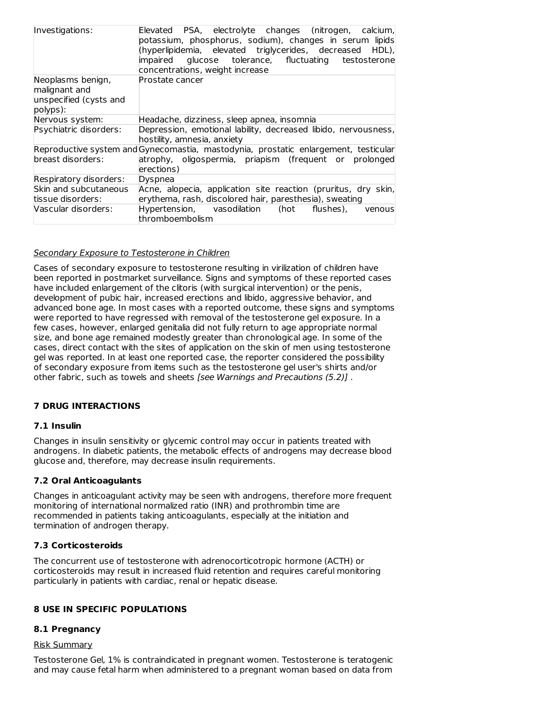| Investigations:                                                          | Elevated PSA, electrolyte changes (nitrogen, calcium,<br>potassium, phosphorus, sodium), changes in serum lipids<br>(hyperlipidemia, elevated triglycerides, decreased HDL),<br>impaired glucose tolerance, fluctuating testosterone<br>concentrations, weight increase |
|--------------------------------------------------------------------------|-------------------------------------------------------------------------------------------------------------------------------------------------------------------------------------------------------------------------------------------------------------------------|
| Neoplasms benign,<br>malignant and<br>unspecified (cysts and<br>polyps): | Prostate cancer                                                                                                                                                                                                                                                         |
| Nervous system:                                                          | Headache, dizziness, sleep apnea, insomnia                                                                                                                                                                                                                              |
| Psychiatric disorders:                                                   | Depression, emotional lability, decreased libido, nervousness,<br>hostility, amnesia, anxiety                                                                                                                                                                           |
| breast disorders:                                                        | Reproductive system and Gynecomastia, mastodynia, prostatic enlargement, testicular<br>atrophy, oligospermia, priapism (frequent or prolonged<br>lerections)                                                                                                            |
| Respiratory disorders:                                                   | Dyspnea                                                                                                                                                                                                                                                                 |
| Skin and subcutaneous<br>tissue disorders:                               | Acne, alopecia, application site reaction (pruritus, dry skin,<br>erythema, rash, discolored hair, paresthesia), sweating                                                                                                                                               |
| Nascular disorders:                                                      | Hypertension, vasodilation (hot flushes),<br>venous<br>thromboembolism                                                                                                                                                                                                  |

### Secondary Exposure to Testosterone in Children

Cases of secondary exposure to testosterone resulting in virilization of children have been reported in postmarket surveillance. Signs and symptoms of these reported cases have included enlargement of the clitoris (with surgical intervention) or the penis, development of pubic hair, increased erections and libido, aggressive behavior, and advanced bone age. In most cases with a reported outcome, these signs and symptoms were reported to have regressed with removal of the testosterone gel exposure. In a few cases, however, enlarged genitalia did not fully return to age appropriate normal size, and bone age remained modestly greater than chronological age. In some of the cases, direct contact with the sites of application on the skin of men using testosterone gel was reported. In at least one reported case, the reporter considered the possibility of secondary exposure from items such as the testosterone gel user's shirts and/or other fabric, such as towels and sheets [see Warnings and Precautions (5.2)] .

### **7 DRUG INTERACTIONS**

### **7.1 Insulin**

Changes in insulin sensitivity or glycemic control may occur in patients treated with androgens. In diabetic patients, the metabolic effects of androgens may decrease blood glucose and, therefore, may decrease insulin requirements.

### **7.2 Oral Anticoagulants**

Changes in anticoagulant activity may be seen with androgens, therefore more frequent monitoring of international normalized ratio (INR) and prothrombin time are recommended in patients taking anticoagulants, especially at the initiation and termination of androgen therapy.

### **7.3 Corticosteroids**

The concurrent use of testosterone with adrenocorticotropic hormone (ACTH) or corticosteroids may result in increased fluid retention and requires careful monitoring particularly in patients with cardiac, renal or hepatic disease.

### **8 USE IN SPECIFIC POPULATIONS**

### **8.1 Pregnancy**

### Risk Summary

Testosterone Gel, 1% is contraindicated in pregnant women. Testosterone is teratogenic and may cause fetal harm when administered to a pregnant woman based on data from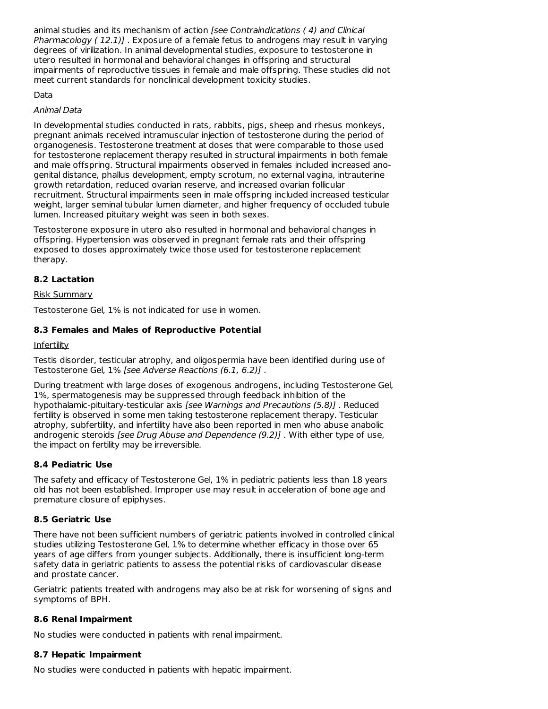animal studies and its mechanism of action [see Contraindications ( 4) and Clinical Pharmacology ( 12.1)] . Exposure of a female fetus to androgens may result in varying degrees of virilization. In animal developmental studies, exposure to testosterone in utero resulted in hormonal and behavioral changes in offspring and structural impairments of reproductive tissues in female and male offspring. These studies did not meet current standards for nonclinical development toxicity studies.

### Data

### Animal Data

In developmental studies conducted in rats, rabbits, pigs, sheep and rhesus monkeys, pregnant animals received intramuscular injection of testosterone during the period of organogenesis. Testosterone treatment at doses that were comparable to those used for testosterone replacement therapy resulted in structural impairments in both female and male offspring. Structural impairments observed in females included increased anogenital distance, phallus development, empty scrotum, no external vagina, intrauterine growth retardation, reduced ovarian reserve, and increased ovarian follicular recruitment. Structural impairments seen in male offspring included increased testicular weight, larger seminal tubular lumen diameter, and higher frequency of occluded tubule lumen. Increased pituitary weight was seen in both sexes.

Testosterone exposure in utero also resulted in hormonal and behavioral changes in offspring. Hypertension was observed in pregnant female rats and their offspring exposed to doses approximately twice those used for testosterone replacement therapy.

### **8.2 Lactation**

### Risk Summary

Testosterone Gel, 1% is not indicated for use in women.

### **8.3 Females and Males of Reproductive Potential**

Infertility

Testis disorder, testicular atrophy, and oligospermia have been identified during use of Testosterone Gel, 1% [see Adverse Reactions (6.1, 6.2)] .

During treatment with large doses of exogenous androgens, including Testosterone Gel, 1%, spermatogenesis may be suppressed through feedback inhibition of the hypothalamic-pituitary-testicular axis [see Warnings and Precautions (5.8)] . Reduced fertility is observed in some men taking testosterone replacement therapy. Testicular atrophy, subfertility, and infertility have also been reported in men who abuse anabolic androgenic steroids [see Drug Abuse and Dependence (9.2)] . With either type of use, the impact on fertility may be irreversible.

### **8.4 Pediatric Use**

The safety and efficacy of Testosterone Gel, 1% in pediatric patients less than 18 years old has not been established. Improper use may result in acceleration of bone age and premature closure of epiphyses.

### **8.5 Geriatric Use**

There have not been sufficient numbers of geriatric patients involved in controlled clinical studies utilizing Testosterone Gel, 1% to determine whether efficacy in those over 65 years of age differs from younger subjects. Additionally, there is insufficient long-term safety data in geriatric patients to assess the potential risks of cardiovascular disease and prostate cancer.

Geriatric patients treated with androgens may also be at risk for worsening of signs and symptoms of BPH.

### **8.6 Renal Impairment**

No studies were conducted in patients with renal impairment.

### **8.7 Hepatic Impairment**

No studies were conducted in patients with hepatic impairment.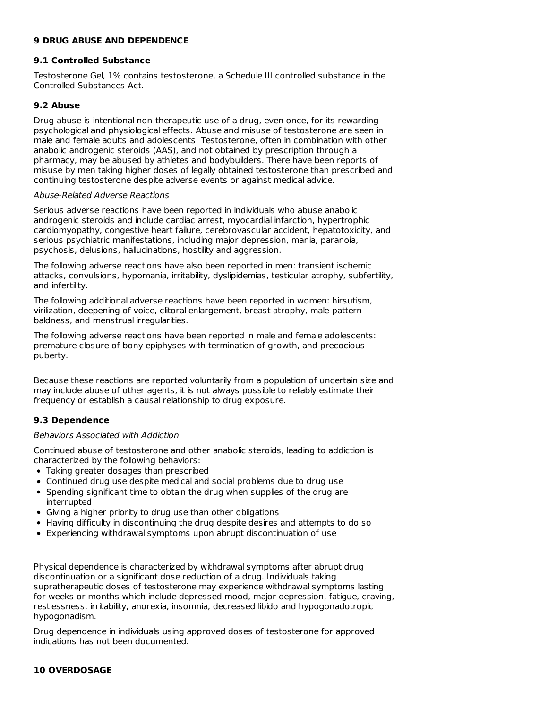### **9 DRUG ABUSE AND DEPENDENCE**

### **9.1 Controlled Substance**

Testosterone Gel, 1% contains testosterone, a Schedule III controlled substance in the Controlled Substances Act.

### **9.2 Abuse**

Drug abuse is intentional non-therapeutic use of a drug, even once, for its rewarding psychological and physiological effects. Abuse and misuse of testosterone are seen in male and female adults and adolescents. Testosterone, often in combination with other anabolic androgenic steroids (AAS), and not obtained by prescription through a pharmacy, may be abused by athletes and bodybuilders. There have been reports of misuse by men taking higher doses of legally obtained testosterone than prescribed and continuing testosterone despite adverse events or against medical advice.

#### Abuse-Related Adverse Reactions

Serious adverse reactions have been reported in individuals who abuse anabolic androgenic steroids and include cardiac arrest, myocardial infarction, hypertrophic cardiomyopathy, congestive heart failure, cerebrovascular accident, hepatotoxicity, and serious psychiatric manifestations, including major depression, mania, paranoia, psychosis, delusions, hallucinations, hostility and aggression.

The following adverse reactions have also been reported in men: transient ischemic attacks, convulsions, hypomania, irritability, dyslipidemias, testicular atrophy, subfertility, and infertility.

The following additional adverse reactions have been reported in women: hirsutism, virilization, deepening of voice, clitoral enlargement, breast atrophy, male-pattern baldness, and menstrual irregularities.

The following adverse reactions have been reported in male and female adolescents: premature closure of bony epiphyses with termination of growth, and precocious puberty.

Because these reactions are reported voluntarily from a population of uncertain size and may include abuse of other agents, it is not always possible to reliably estimate their frequency or establish a causal relationship to drug exposure.

### **9.3 Dependence**

### Behaviors Associated with Addiction

Continued abuse of testosterone and other anabolic steroids, leading to addiction is characterized by the following behaviors:

- Taking greater dosages than prescribed
- Continued drug use despite medical and social problems due to drug use
- Spending significant time to obtain the drug when supplies of the drug are interrupted
- Giving a higher priority to drug use than other obligations
- Having difficulty in discontinuing the drug despite desires and attempts to do so
- Experiencing withdrawal symptoms upon abrupt discontinuation of use

Physical dependence is characterized by withdrawal symptoms after abrupt drug discontinuation or a significant dose reduction of a drug. Individuals taking supratherapeutic doses of testosterone may experience withdrawal symptoms lasting for weeks or months which include depressed mood, major depression, fatigue, craving, restlessness, irritability, anorexia, insomnia, decreased libido and hypogonadotropic hypogonadism.

Drug dependence in individuals using approved doses of testosterone for approved indications has not been documented.

### **10 OVERDOSAGE**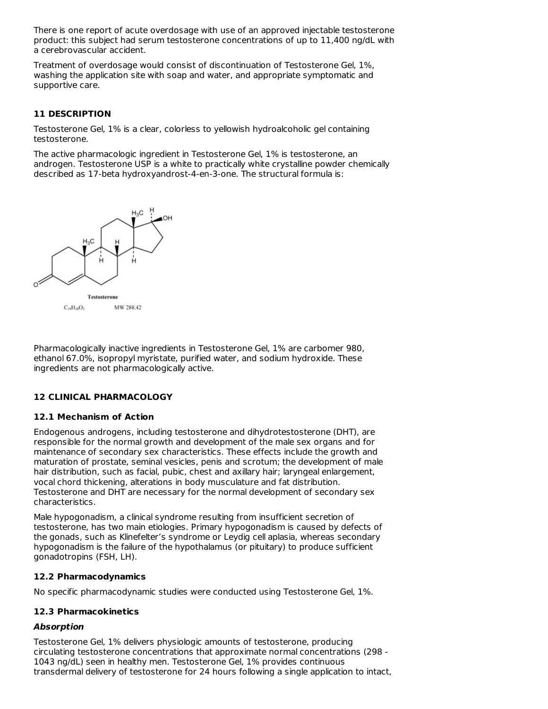There is one report of acute overdosage with use of an approved injectable testosterone product: this subject had serum testosterone concentrations of up to 11,400 ng/dL with a cerebrovascular accident.

Treatment of overdosage would consist of discontinuation of Testosterone Gel, 1%, washing the application site with soap and water, and appropriate symptomatic and supportive care.

### **11 DESCRIPTION**

Testosterone Gel, 1% is a clear, colorless to yellowish hydroalcoholic gel containing testosterone.

The active pharmacologic ingredient in Testosterone Gel, 1% is testosterone, an androgen. Testosterone USP is a white to practically white crystalline powder chemically described as 17-beta hydroxyandrost-4-en-3-one. The structural formula is:



Pharmacologically inactive ingredients in Testosterone Gel, 1% are carbomer 980, ethanol 67.0%, isopropyl myristate, purified water, and sodium hydroxide. These ingredients are not pharmacologically active.

### **12 CLINICAL PHARMACOLOGY**

### **12.1 Mechanism of Action**

Endogenous androgens, including testosterone and dihydrotestosterone (DHT), are responsible for the normal growth and development of the male sex organs and for maintenance of secondary sex characteristics. These effects include the growth and maturation of prostate, seminal vesicles, penis and scrotum; the development of male hair distribution, such as facial, pubic, chest and axillary hair; laryngeal enlargement, vocal chord thickening, alterations in body musculature and fat distribution. Testosterone and DHT are necessary for the normal development of secondary sex characteristics.

Male hypogonadism, a clinical syndrome resulting from insufficient secretion of testosterone, has two main etiologies. Primary hypogonadism is caused by defects of the gonads, such as Klinefelter's syndrome or Leydig cell aplasia, whereas secondary hypogonadism is the failure of the hypothalamus (or pituitary) to produce sufficient gonadotropins (FSH, LH).

### **12.2 Pharmacodynamics**

No specific pharmacodynamic studies were conducted using Testosterone Gel, 1%.

### **12.3 Pharmacokinetics**

### **Absorption**

Testosterone Gel, 1% delivers physiologic amounts of testosterone, producing circulating testosterone concentrations that approximate normal concentrations (298 - 1043 ng/dL) seen in healthy men. Testosterone Gel, 1% provides continuous transdermal delivery of testosterone for 24 hours following a single application to intact,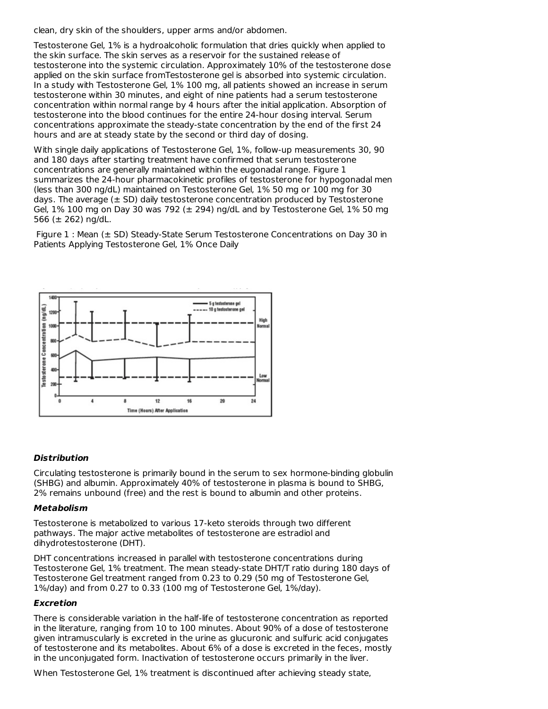clean, dry skin of the shoulders, upper arms and/or abdomen.

Testosterone Gel, 1% is a hydroalcoholic formulation that dries quickly when applied to the skin surface. The skin serves as a reservoir for the sustained release of testosterone into the systemic circulation. Approximately 10% of the testosterone dose applied on the skin surface fromTestosterone gel is absorbed into systemic circulation. In a study with Testosterone Gel, 1% 100 mg, all patients showed an increase in serum testosterone within 30 minutes, and eight of nine patients had a serum testosterone concentration within normal range by 4 hours after the initial application. Absorption of testosterone into the blood continues for the entire 24-hour dosing interval. Serum concentrations approximate the steady-state concentration by the end of the first 24 hours and are at steady state by the second or third day of dosing.

With single daily applications of Testosterone Gel, 1%, follow-up measurements 30, 90 and 180 days after starting treatment have confirmed that serum testosterone concentrations are generally maintained within the eugonadal range. Figure 1 summarizes the 24-hour pharmacokinetic profiles of testosterone for hypogonadal men (less than 300 ng/dL) maintained on Testosterone Gel, 1% 50 mg or 100 mg for 30 days. The average  $(\pm$  SD) daily testosterone concentration produced by Testosterone Gel, 1% 100 mg on Day 30 was 792 (± 294) ng/dL and by Testosterone Gel, 1% 50 mg 566 ( $\pm$  262) ng/dL.

Figure 1 : Mean (± SD) Steady-State Serum Testosterone Concentrations on Day 30 in Patients Applying Testosterone Gel, 1% Once Daily



### **Distribution**

Circulating testosterone is primarily bound in the serum to sex hormone-binding globulin (SHBG) and albumin. Approximately 40% of testosterone in plasma is bound to SHBG, 2% remains unbound (free) and the rest is bound to albumin and other proteins.

### **Metabolism**

Testosterone is metabolized to various 17-keto steroids through two different pathways. The major active metabolites of testosterone are estradiol and dihydrotestosterone (DHT).

DHT concentrations increased in parallel with testosterone concentrations during Testosterone Gel, 1% treatment. The mean steady-state DHT/T ratio during 180 days of Testosterone Gel treatment ranged from 0.23 to 0.29 (50 mg of Testosterone Gel, 1%/day) and from 0.27 to 0.33 (100 mg of Testosterone Gel, 1%/day).

### **Excretion**

There is considerable variation in the half-life of testosterone concentration as reported in the literature, ranging from 10 to 100 minutes. About 90% of a dose of testosterone given intramuscularly is excreted in the urine as glucuronic and sulfuric acid conjugates of testosterone and its metabolites. About 6% of a dose is excreted in the feces, mostly in the unconjugated form. Inactivation of testosterone occurs primarily in the liver.

When Testosterone Gel, 1% treatment is discontinued after achieving steady state,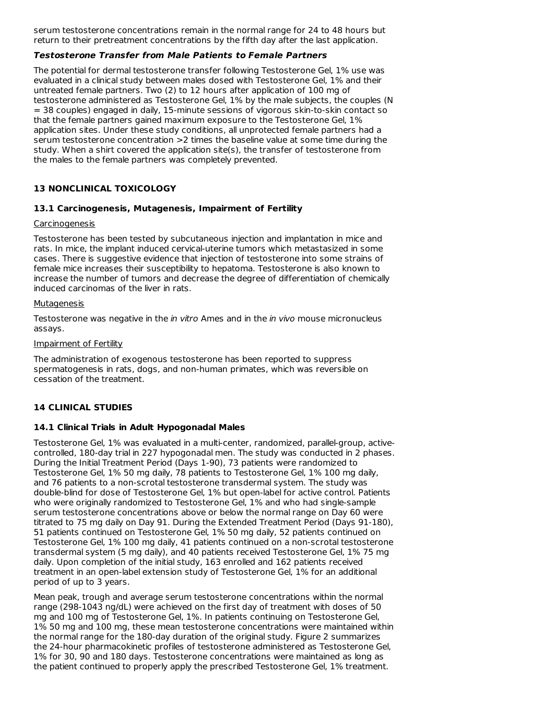serum testosterone concentrations remain in the normal range for 24 to 48 hours but return to their pretreatment concentrations by the fifth day after the last application.

### **Testosterone Transfer from Male Patients to Female Partners**

The potential for dermal testosterone transfer following Testosterone Gel, 1% use was evaluated in a clinical study between males dosed with Testosterone Gel, 1% and their untreated female partners. Two (2) to 12 hours after application of 100 mg of testosterone administered as Testosterone Gel, 1% by the male subjects, the couples (N = 38 couples) engaged in daily, 15-minute sessions of vigorous skin-to-skin contact so that the female partners gained maximum exposure to the Testosterone Gel, 1% application sites. Under these study conditions, all unprotected female partners had a serum testosterone concentration >2 times the baseline value at some time during the study. When a shirt covered the application site(s), the transfer of testosterone from the males to the female partners was completely prevented.

### **13 NONCLINICAL TOXICOLOGY**

### **13.1 Carcinogenesis, Mutagenesis, Impairment of Fertility**

### **Carcinogenesis**

Testosterone has been tested by subcutaneous injection and implantation in mice and rats. In mice, the implant induced cervical-uterine tumors which metastasized in some cases. There is suggestive evidence that injection of testosterone into some strains of female mice increases their susceptibility to hepatoma. Testosterone is also known to increase the number of tumors and decrease the degree of differentiation of chemically induced carcinomas of the liver in rats.

#### **Mutagenesis**

Testosterone was negative in the *in vitro* Ames and in the *in vivo* mouse micronucleus assays.

#### Impairment of Fertility

The administration of exogenous testosterone has been reported to suppress spermatogenesis in rats, dogs, and non-human primates, which was reversible on cessation of the treatment.

### **14 CLINICAL STUDIES**

### **14.1 Clinical Trials in Adult Hypogonadal Males**

Testosterone Gel, 1% was evaluated in a multi-center, randomized, parallel-group, activecontrolled, 180-day trial in 227 hypogonadal men. The study was conducted in 2 phases. During the Initial Treatment Period (Days 1-90), 73 patients were randomized to Testosterone Gel, 1% 50 mg daily, 78 patients to Testosterone Gel, 1% 100 mg daily, and 76 patients to a non-scrotal testosterone transdermal system. The study was double-blind for dose of Testosterone Gel, 1% but open-label for active control. Patients who were originally randomized to Testosterone Gel, 1% and who had single-sample serum testosterone concentrations above or below the normal range on Day 60 were titrated to 75 mg daily on Day 91. During the Extended Treatment Period (Days 91-180), 51 patients continued on Testosterone Gel, 1% 50 mg daily, 52 patients continued on Testosterone Gel, 1% 100 mg daily, 41 patients continued on a non-scrotal testosterone transdermal system (5 mg daily), and 40 patients received Testosterone Gel, 1% 75 mg daily. Upon completion of the initial study, 163 enrolled and 162 patients received treatment in an open-label extension study of Testosterone Gel, 1% for an additional period of up to 3 years.

Mean peak, trough and average serum testosterone concentrations within the normal range (298-1043 ng/dL) were achieved on the first day of treatment with doses of 50 mg and 100 mg of Testosterone Gel, 1%. In patients continuing on Testosterone Gel, 1% 50 mg and 100 mg, these mean testosterone concentrations were maintained within the normal range for the 180-day duration of the original study. Figure 2 summarizes the 24-hour pharmacokinetic profiles of testosterone administered as Testosterone Gel, 1% for 30, 90 and 180 days. Testosterone concentrations were maintained as long as the patient continued to properly apply the prescribed Testosterone Gel, 1% treatment.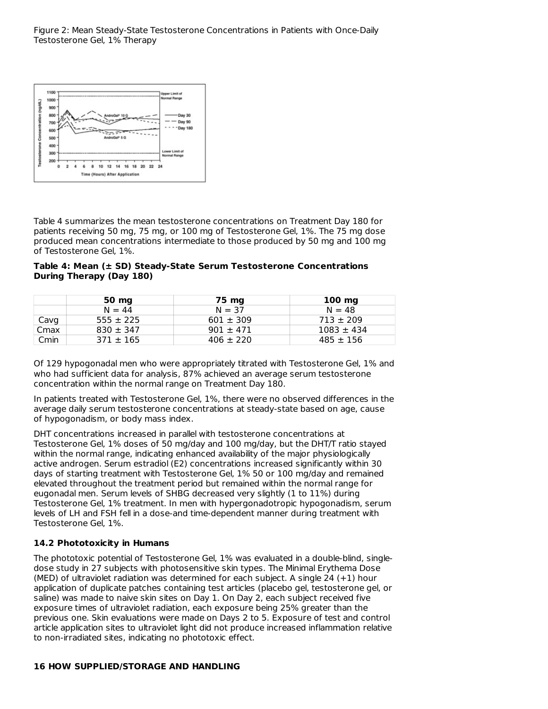

Table 4 summarizes the mean testosterone concentrations on Treatment Day 180 for patients receiving 50 mg, 75 mg, or 100 mg of Testosterone Gel, 1%. The 75 mg dose produced mean concentrations intermediate to those produced by 50 mg and 100 mg of Testosterone Gel, 1%.

#### **Table 4: Mean (± SD) Steady-State Serum Testosterone Concentrations During Therapy (Day 180)**

|      | 50 mg         | 75 mg         | $100$ mg       |
|------|---------------|---------------|----------------|
|      | $N = 44$      | $N = 37$      | $N = 48$       |
| Cavg | $555 \pm 225$ | $601 \pm 309$ | $713 \pm 209$  |
| Cmax | $830 \pm 347$ | $901 \pm 471$ | $1083 \pm 434$ |
| Cmin | $371 \pm 165$ | $406 \pm 220$ | $485 \pm 156$  |

Of 129 hypogonadal men who were appropriately titrated with Testosterone Gel, 1% and who had sufficient data for analysis, 87% achieved an average serum testosterone concentration within the normal range on Treatment Day 180.

In patients treated with Testosterone Gel, 1%, there were no observed differences in the average daily serum testosterone concentrations at steady-state based on age, cause of hypogonadism, or body mass index.

DHT concentrations increased in parallel with testosterone concentrations at Testosterone Gel, 1% doses of 50 mg/day and 100 mg/day, but the DHT/T ratio stayed within the normal range, indicating enhanced availability of the major physiologically active androgen. Serum estradiol (E2) concentrations increased significantly within 30 days of starting treatment with Testosterone Gel, 1% 50 or 100 mg/day and remained elevated throughout the treatment period but remained within the normal range for eugonadal men. Serum levels of SHBG decreased very slightly (1 to 11%) during Testosterone Gel, 1% treatment. In men with hypergonadotropic hypogonadism, serum levels of LH and FSH fell in a dose-and time-dependent manner during treatment with Testosterone Gel, 1%.

### **14.2 Phototoxicity in Humans**

The phototoxic potential of Testosterone Gel, 1% was evaluated in a double-blind, singledose study in 27 subjects with photosensitive skin types. The Minimal Erythema Dose (MED) of ultraviolet radiation was determined for each subject. A single 24  $(+1)$  hour application of duplicate patches containing test articles (placebo gel, testosterone gel, or saline) was made to naive skin sites on Day 1. On Day 2, each subject received five exposure times of ultraviolet radiation, each exposure being 25% greater than the previous one. Skin evaluations were made on Days 2 to 5. Exposure of test and control article application sites to ultraviolet light did not produce increased inflammation relative to non-irradiated sites, indicating no phototoxic effect.

### **16 HOW SUPPLIED/STORAGE AND HANDLING**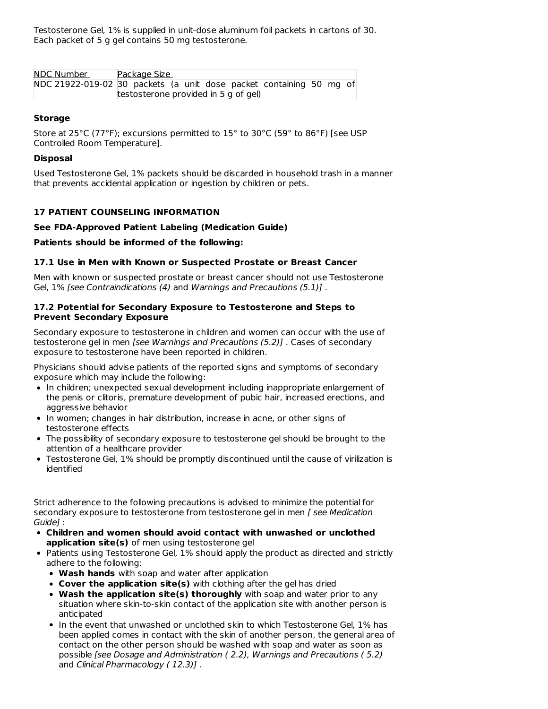Testosterone Gel, 1% is supplied in unit-dose aluminum foil packets in cartons of 30. Each packet of 5 g gel contains 50 mg testosterone.

| <b>NDC Number</b> | Package Size                                                        |  |  |  |  |  |  |  |
|-------------------|---------------------------------------------------------------------|--|--|--|--|--|--|--|
|                   | NDC 21922-019-02 30 packets (a unit dose packet containing 50 mg of |  |  |  |  |  |  |  |
|                   | testosterone provided in 5 g of gel)                                |  |  |  |  |  |  |  |

### **Storage**

Store at 25°C (77°F); excursions permitted to 15° to 30°C (59° to 86°F) [see USP Controlled Room Temperature].

#### **Disposal**

Used Testosterone Gel, 1% packets should be discarded in household trash in a manner that prevents accidental application or ingestion by children or pets.

### **17 PATIENT COUNSELING INFORMATION**

#### **See FDA-Approved Patient Labeling (Medication Guide)**

#### **Patients should be informed of the following:**

#### **17.1 Use in Men with Known or Suspected Prostate or Breast Cancer**

Men with known or suspected prostate or breast cancer should not use Testosterone Gel, 1% [see Contraindications (4) and Warnings and Precautions (5.1)] .

### **17.2 Potential for Secondary Exposure to Testosterone and Steps to Prevent Secondary Exposure**

Secondary exposure to testosterone in children and women can occur with the use of testosterone gel in men [see Warnings and Precautions (5.2)] . Cases of secondary exposure to testosterone have been reported in children.

Physicians should advise patients of the reported signs and symptoms of secondary exposure which may include the following:

- In children; unexpected sexual development including inappropriate enlargement of the penis or clitoris, premature development of pubic hair, increased erections, and aggressive behavior
- In women; changes in hair distribution, increase in acne, or other signs of testosterone effects
- The possibility of secondary exposure to testosterone gel should be brought to the attention of a healthcare provider
- Testosterone Gel, 1% should be promptly discontinued until the cause of virilization is identified

Strict adherence to the following precautions is advised to minimize the potential for secondary exposure to testosterone from testosterone gel in men [ see Medication Guide] :

- **Children and women should avoid contact with unwashed or unclothed application site(s)** of men using testosterone gel
- Patients using Testosterone Gel, 1% should apply the product as directed and strictly adhere to the following:
	- **Wash hands** with soap and water after application
	- **Cover the application site(s)** with clothing after the gel has dried
	- **Wash the application site(s) thoroughly** with soap and water prior to any situation where skin-to-skin contact of the application site with another person is anticipated
	- In the event that unwashed or unclothed skin to which Testosterone Gel, 1% has been applied comes in contact with the skin of another person, the general area of contact on the other person should be washed with soap and water as soon as possible [see Dosage and Administration ( 2.2), Warnings and Precautions ( 5.2) and Clinical Pharmacology ( 12.3)] .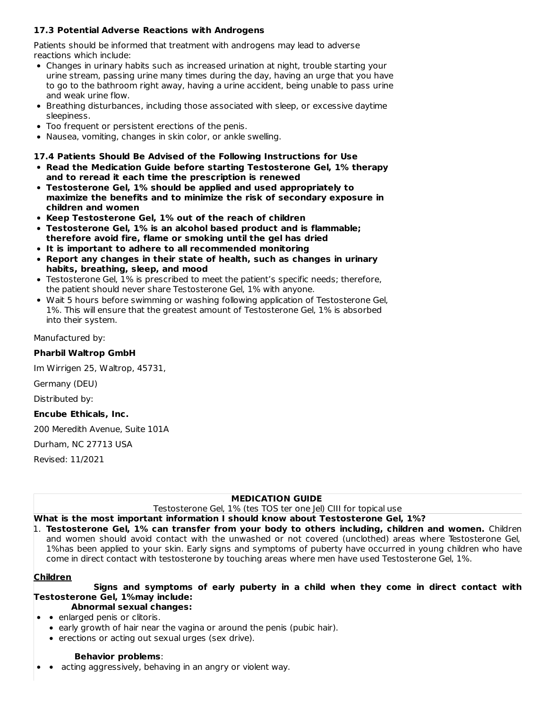## **17.3 Potential Adverse Reactions with Androgens**

Patients should be informed that treatment with androgens may lead to adverse reactions which include:

- Changes in urinary habits such as increased urination at night, trouble starting your urine stream, passing urine many times during the day, having an urge that you have to go to the bathroom right away, having a urine accident, being unable to pass urine and weak urine flow.
- Breathing disturbances, including those associated with sleep, or excessive daytime sleepiness.
- Too frequent or persistent erections of the penis.
- Nausea, vomiting, changes in skin color, or ankle swelling.

### **17.4 Patients Should Be Advised of the Following Instructions for Use**

- **Read the Medication Guide before starting Testosterone Gel, 1% therapy and to reread it each time the prescription is renewed**
- **Testosterone Gel, 1% should be applied and used appropriately to maximize the benefits and to minimize the risk of secondary exposure in children and women**
- **Keep Testosterone Gel, 1% out of the reach of children**
- **Testosterone Gel, 1% is an alcohol based product and is flammable; therefore avoid fire, flame or smoking until the gel has dried**
- **It is important to adhere to all recommended monitoring**
- **Report any changes in their state of health, such as changes in urinary habits, breathing, sleep, and mood**
- Testosterone Gel, 1% is prescribed to meet the patient's specific needs; therefore, the patient should never share Testosterone Gel, 1% with anyone.
- Wait 5 hours before swimming or washing following application of Testosterone Gel, 1%. This will ensure that the greatest amount of Testosterone Gel, 1% is absorbed into their system.

Manufactured by:

### **Pharbil Waltrop GmbH**

Im Wirrigen 25, Waltrop, 45731,

Germany (DEU)

Distributed by:

### **Encube Ethicals, Inc.**

200 Meredith Avenue, Suite 101A

Durham, NC 27713 USA

Revised: 11/2021

### **MEDICATION GUIDE**

Testosterone Gel, 1% (tes TOS ter one Jel) CIII for topical use

### **What is the most important information I should know about Testosterone Gel, 1%?**

1. **Testosterone Gel, 1% can transfer from your body to others including, children and women.** Children and women should avoid contact with the unwashed or not covered (unclothed) areas where Testosterone Gel, 1%has been applied to your skin. Early signs and symptoms of puberty have occurred in young children who have come in direct contact with testosterone by touching areas where men have used Testosterone Gel, 1%.

### **Children**

### **Signs and symptoms of early puberty in a child when they come in direct contact with Testosterone Gel, 1%may include:**

### **Abnormal sexual changes:**

- enlarged penis or clitoris.
- $\bullet$  early growth of hair near the vagina or around the penis (pubic hair).
- erections or acting out sexual urges (sex drive).

### **Behavior problems**:

acting aggressively, behaving in an angry or violent way.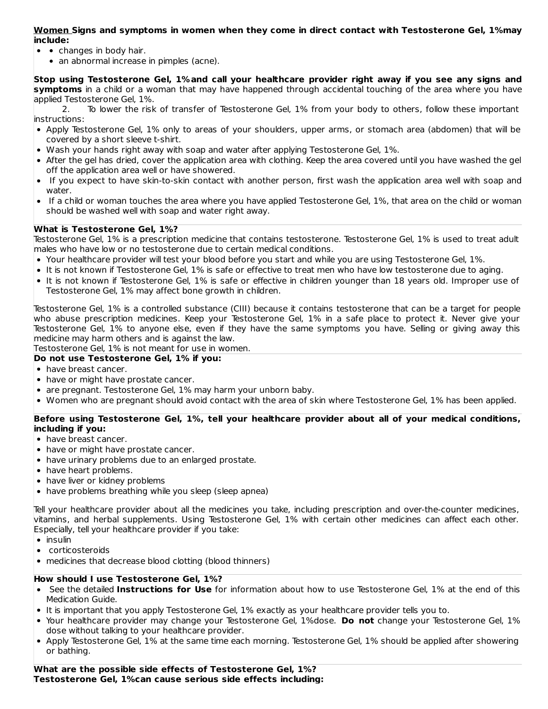**Women Signs and symptoms in women when they come in direct contact with Testosterone Gel, 1%may include:**

- changes in body hair.  $\bullet$ 
	- an abnormal increase in pimples (acne).

**Stop using Testosterone Gel, 1%and call your healthcare provider right away if you see any signs and symptoms** in a child or a woman that may have happened through accidental touching of the area where you have applied Testosterone Gel, 1%.

2. To lower the risk of transfer of Testosterone Gel, 1% from your body to others, follow these important instructions:

- Apply Testosterone Gel, 1% only to areas of your shoulders, upper arms, or stomach area (abdomen) that will be covered by a short sleeve t-shirt.
- Wash your hands right away with soap and water after applying Testosterone Gel, 1%.
- After the gel has dried, cover the application area with clothing. Keep the area covered until you have washed the gel off the application area well or have showered.
- If you expect to have skin-to-skin contact with another person, first wash the application area well with soap and water.
- If a child or woman touches the area where you have applied Testosterone Gel, 1%, that area on the child or woman should be washed well with soap and water right away.

### **What is Testosterone Gel, 1%?**

Testosterone Gel, 1% is a prescription medicine that contains testosterone. Testosterone Gel, 1% is used to treat adult males who have low or no testosterone due to certain medical conditions.

- Your healthcare provider will test your blood before you start and while you are using Testosterone Gel, 1%.
- It is not known if Testosterone Gel, 1% is safe or effective to treat men who have low testosterone due to aging.
- It is not known if Testosterone Gel, 1% is safe or effective in children younger than 18 years old. Improper use of Testosterone Gel, 1% may affect bone growth in children.

Testosterone Gel, 1% is a controlled substance (CIII) because it contains testosterone that can be a target for people who abuse prescription medicines. Keep your Testosterone Gel, 1% in a safe place to protect it. Never give your Testosterone Gel, 1% to anyone else, even if they have the same symptoms you have. Selling or giving away this medicine may harm others and is against the law.

Testosterone Gel, 1% is not meant for use in women.

### **Do not use Testosterone Gel, 1% if you:**

- have breast cancer.
- have or might have prostate cancer.
- are pregnant. Testosterone Gel, 1% may harm your unborn baby.
- Women who are pregnant should avoid contact with the area of skin where Testosterone Gel, 1% has been applied.

### **Before using Testosterone Gel, 1%, tell your healthcare provider about all of your medical conditions, including if you:**

- have breast cancer.
- have or might have prostate cancer.
- have urinary problems due to an enlarged prostate.
- have heart problems.
- have liver or kidney problems
- have problems breathing while you sleep (sleep apnea)

Tell your healthcare provider about all the medicines you take, including prescription and over-the-counter medicines, vitamins, and herbal supplements. Using Testosterone Gel, 1% with certain other medicines can affect each other. Especially, tell your healthcare provider if you take:

- insulin
- corticosteroids
- medicines that decrease blood clotting (blood thinners)

### **How should I use Testosterone Gel, 1%?**

- **See the detailed Instructions for Use** for information about how to use Testosterone Gel, 1% at the end of this Medication Guide.
- It is important that you apply Testosterone Gel, 1% exactly as your healthcare provider tells you to.
- Your healthcare provider may change your Testosterone Gel, 1%dose. **Do not** change your Testosterone Gel, 1% dose without talking to your healthcare provider.
- Apply Testosterone Gel, 1% at the same time each morning. Testosterone Gel, 1% should be applied after showering or bathing.

**What are the possible side effects of Testosterone Gel, 1%? Testosterone Gel, 1%can cause serious side effects including:**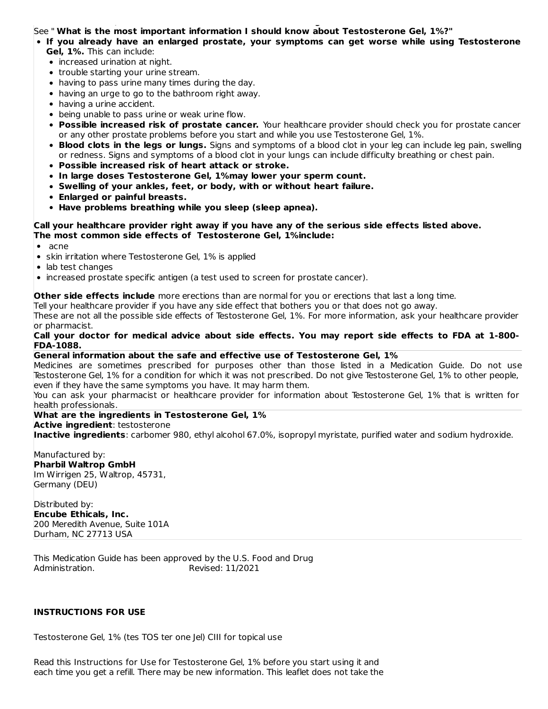#### **Testosterone Gel, 1%can cause serious side effects including:** See " **What is the most important information I should know about Testosterone Gel, 1%?"**

- **If you already have an enlarged prostate, your symptoms can get worse while using Testosterone Gel, 1%.** This can include:
	- increased urination at night.
	- trouble starting your urine stream.
	- having to pass urine many times during the day.
	- having an urge to go to the bathroom right away.
	- having a urine accident.
	- being unable to pass urine or weak urine flow.
	- **Possible increased risk of prostate cancer.** Your healthcare provider should check you for prostate cancer or any other prostate problems before you start and while you use Testosterone Gel, 1%.
	- **Blood clots in the legs or lungs.** Signs and symptoms of a blood clot in your leg can include leg pain, swelling or redness. Signs and symptoms of a blood clot in your lungs can include difficulty breathing or chest pain.
	- **Possible increased risk of heart attack or stroke.**
	- **In large doses Testosterone Gel, 1%may lower your sperm count.**
	- **Swelling of your ankles, feet, or body, with or without heart failure.**
	- **Enlarged or painful breasts.**
	- **Have problems breathing while you sleep (sleep apnea).**

#### **Call your healthcare provider right away if you have any of the serious side effects listed above. The most common side effects of Testosterone Gel, 1%include:**

- $\bullet$  acne
- skin irritation where Testosterone Gel, 1% is applied
- lab test changes
- increased prostate specific antigen (a test used to screen for prostate cancer).

**Other side effects include** more erections than are normal for you or erections that last a long time.

Tell your healthcare provider if you have any side effect that bothers you or that does not go away.

These are not all the possible side effects of Testosterone Gel, 1%. For more information, ask your healthcare provider or pharmacist.

### -Call your doctor for medical advice about side effects. You may report side effects to FDA at 1-800 **FDA-1088.**

**General information about the safe and effective use of Testosterone Gel, 1%**

Medicines are sometimes prescribed for purposes other than those listed in a Medication Guide. Do not use Testosterone Gel, 1% for a condition for which it was not prescribed. Do not give Testosterone Gel, 1% to other people, even if they have the same symptoms you have. It may harm them.

You can ask your pharmacist or healthcare provider for information about Testosterone Gel, 1% that is written for health professionals.

### **What are the ingredients in Testosterone Gel, 1%**

**Active ingredient**: testosterone

**Inactive ingredients**: carbomer 980, ethyl alcohol 67.0%, isopropyl myristate, purified water and sodium hydroxide.

Manufactured by: **Pharbil Waltrop GmbH** Im Wirrigen 25, Waltrop, 45731, Germany (DEU)

Distributed by: **Encube Ethicals, Inc.** 200 Meredith Avenue, Suite 101A Durham, NC 27713 USA

This Medication Guide has been approved by the U.S. Food and Drug Administration. Revised: 11/2021

### **INSTRUCTIONS FOR USE**

Testosterone Gel, 1% (tes TOS ter one Jel) CIII for topical use

Read this Instructions for Use for Testosterone Gel, 1% before you start using it and each time you get a refill. There may be new information. This leaflet does not take the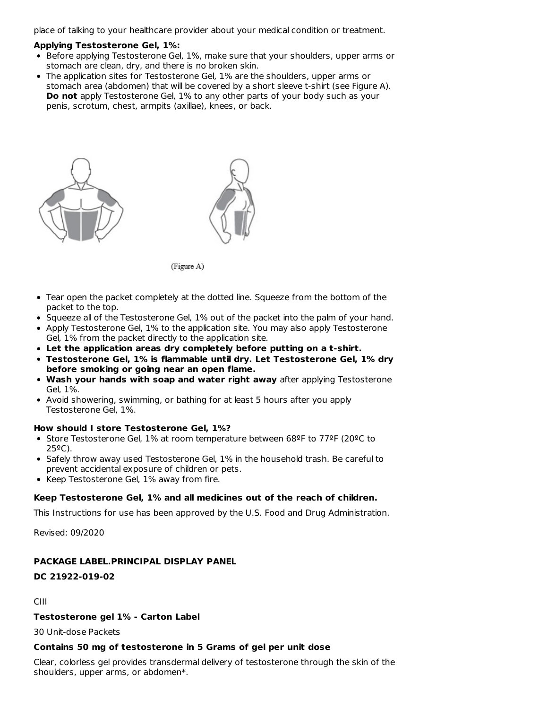place of talking to your healthcare provider about your medical condition or treatment.

### **Applying Testosterone Gel, 1%:**

- Before applying Testosterone Gel, 1%, make sure that your shoulders, upper arms or stomach are clean, dry, and there is no broken skin.
- The application sites for Testosterone Gel, 1% are the shoulders, upper arms or stomach area (abdomen) that will be covered by a short sleeve t-shirt (see Figure A). **Do not** apply Testosterone Gel, 1% to any other parts of your body such as your penis, scrotum, chest, armpits (axillae), knees, or back.





(Figure A)

- Tear open the packet completely at the dotted line. Squeeze from the bottom of the packet to the top.
- Squeeze all of the Testosterone Gel, 1% out of the packet into the palm of your hand.
- Apply Testosterone Gel, 1% to the application site. You may also apply Testosterone Gel, 1% from the packet directly to the application site.
- **Let the application areas dry completely before putting on a t-shirt.**
- **Testosterone Gel, 1% is flammable until dry. Let Testosterone Gel, 1% dry before smoking or going near an open flame.**
- **Wash your hands with soap and water right away** after applying Testosterone Gel, 1%.

• Avoid showering, swimming, or bathing for at least 5 hours after you apply Testosterone Gel, 1%.

### **How should I store Testosterone Gel, 1%?**

- Store Testosterone Gel, 1% at room temperature between 68ºF to 77ºF (20ºC to 25ºC).
- Safely throw away used Testosterone Gel, 1% in the household trash. Be careful to prevent accidental exposure of children or pets.
- Keep Testosterone Gel, 1% away from fire.

### **Keep Testosterone Gel, 1% and all medicines out of the reach of children.**

This Instructions for use has been approved by the U.S. Food and Drug Administration.

Revised: 09/2020

## **PACKAGE LABEL.PRINCIPAL DISPLAY PANEL**

### **DC 21922-019-02**

CIII

### **Testosterone gel 1% - Carton Label**

30 Unit-dose Packets

### **Contains 50 mg of testosterone in 5 Grams of gel per unit dose**

Clear, colorless gel provides transdermal delivery of testosterone through the skin of the shoulders, upper arms, or abdomen\*.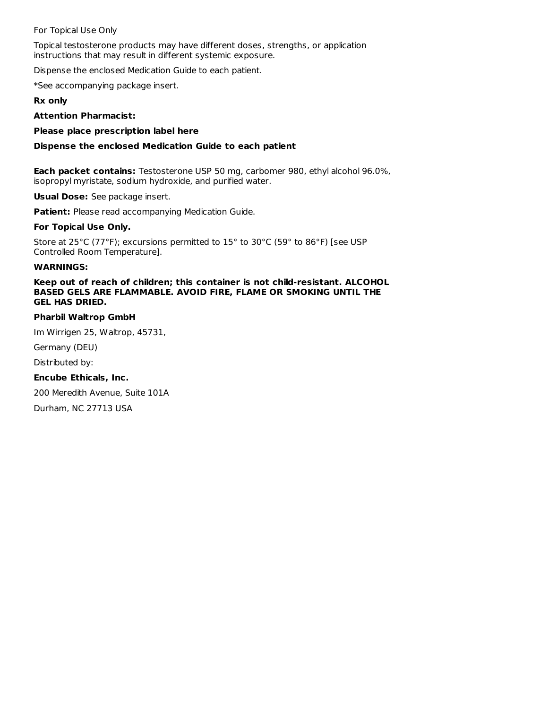### For Topical Use Only

Topical testosterone products may have different doses, strengths, or application instructions that may result in different systemic exposure.

Dispense the enclosed Medication Guide to each patient.

\*See accompanying package insert.

**Rx only**

**Attention Pharmacist:**

**Please place prescription label here**

**Dispense the enclosed Medication Guide to each patient**

**Each packet contains:** Testosterone USP 50 mg, carbomer 980, ethyl alcohol 96.0%, isopropyl myristate, sodium hydroxide, and purified water.

**Usual Dose:** See package insert.

**Patient:** Please read accompanying Medication Guide.

### **For Topical Use Only.**

Store at 25°C (77°F); excursions permitted to 15° to 30°C (59° to 86°F) [see USP Controlled Room Temperature].

### **WARNINGS:**

**Keep out of reach of children; this container is not child-resistant. ALCOHOL BASED GELS ARE FLAMMABLE. AVOID FIRE, FLAME OR SMOKING UNTIL THE GEL HAS DRIED.**

### **Pharbil Waltrop GmbH**

Im Wirrigen 25, Waltrop, 45731,

Germany (DEU)

Distributed by:

### **Encube Ethicals, Inc.**

200 Meredith Avenue, Suite 101A

Durham, NC 27713 USA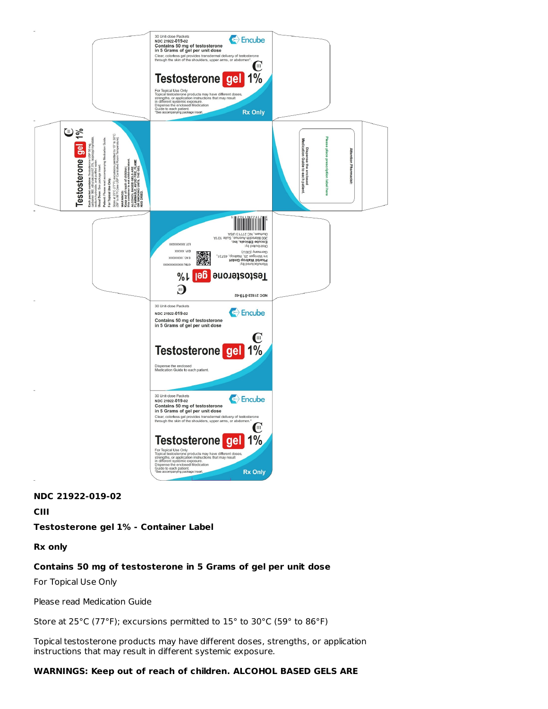

**NDC 21922-019-02**

**CIII**

## **Testosterone gel 1% - Container Label**

**Rx only**

## **Contains 50 mg of testosterone in 5 Grams of gel per unit dose**

For Topical Use Only

Please read Medication Guide

Store at 25°C (77°F); excursions permitted to 15° to 30°C (59° to 86°F)

Topical testosterone products may have different doses, strengths, or application instructions that may result in different systemic exposure.

### **WARNINGS: Keep out of reach of children. ALCOHOL BASED GELS ARE**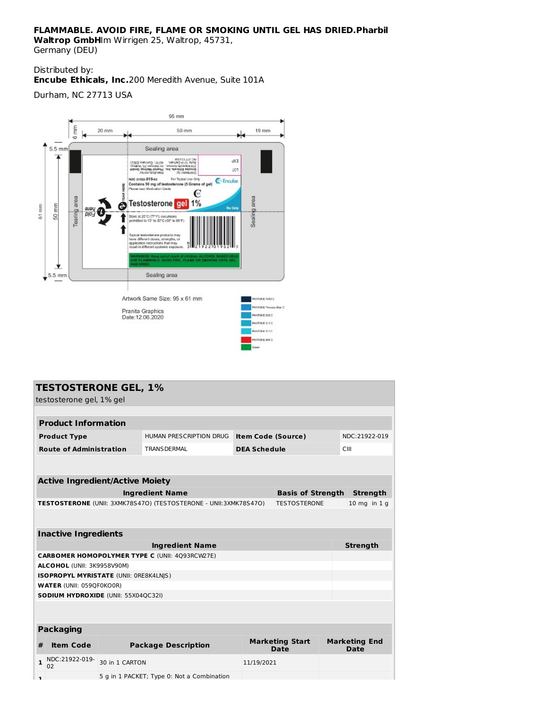### **FLAMMABLE. AVOID FIRE, FLAME OR SMOKING UNTIL GEL HAS DRIED.Pharbil**

**Waltrop GmbH**Im Wirrigen 25, Waltrop, 45731, Germany (DEU)

# Distributed by:

**Encube Ethicals, Inc.**200 Meredith Avenue, Suite 101A

Durham, NC 27713 USA



| <b>TESTOSTERONE GEL, 1%</b><br>testosterone gel, 1% gel |                                     |                                                                  |                           |                          |               |                              |  |
|---------------------------------------------------------|-------------------------------------|------------------------------------------------------------------|---------------------------|--------------------------|---------------|------------------------------|--|
|                                                         |                                     |                                                                  |                           |                          |               |                              |  |
| <b>Product Information</b>                              |                                     |                                                                  |                           |                          |               |                              |  |
| <b>Product Type</b>                                     |                                     | HUMAN PRESCRIPTION DRUG                                          | <b>Item Code (Source)</b> |                          | NDC:21922-019 |                              |  |
| <b>Route of Administration</b>                          |                                     | <b>TRANSDERMAL</b>                                               | <b>DEA Schedule</b>       |                          |               | CIII                         |  |
|                                                         |                                     |                                                                  |                           |                          |               |                              |  |
| <b>Active Ingredient/Active Moiety</b>                  |                                     |                                                                  |                           |                          |               |                              |  |
|                                                         |                                     | <b>Ingredient Name</b>                                           |                           | <b>Basis of Strength</b> |               | <b>Strength</b>              |  |
|                                                         |                                     | TESTOSTERONE (UNII: 3XMK78S470) (TESTOSTERONE - UNII:3XMK78S470) |                           | <b>TESTOSTERONE</b>      |               | $10$ mg in $1$ q             |  |
| <b>Inactive Ingredients</b>                             |                                     |                                                                  |                           |                          |               |                              |  |
| <b>Strength</b><br><b>Ingredient Name</b>               |                                     |                                                                  |                           |                          |               |                              |  |
| <b>CARBOMER HOMOPOLYMER TYPE C (UNII: 4093RCW27E)</b>   |                                     |                                                                  |                           |                          |               |                              |  |
| ALCOHOL (UNII: 3K9958V90M)                              |                                     |                                                                  |                           |                          |               |                              |  |
| <b>ISOPROPYL MYRISTATE (UNII: ORE8K4LNJS)</b>           |                                     |                                                                  |                           |                          |               |                              |  |
| <b>WATER (UNII: 059QF0KO0R)</b>                         |                                     |                                                                  |                           |                          |               |                              |  |
|                                                         | SODIUM HYDROXIDE (UNII: 55X04QC32I) |                                                                  |                           |                          |               |                              |  |
|                                                         |                                     |                                                                  |                           |                          |               |                              |  |
| <b>Packaging</b>                                        |                                     |                                                                  |                           |                          |               |                              |  |
| <b>Item Code</b><br>#                                   |                                     | <b>Marketing Start</b><br><b>Package Description</b><br>Date     |                           |                          |               | <b>Marketing End</b><br>Date |  |
| NDC:21922-019-<br>$\mathbf{1}$<br>02                    | 30 in 1 CARTON<br>11/19/2021        |                                                                  |                           |                          |               |                              |  |
| 5 g in 1 PACKET; Type 0: Not a Combination              |                                     |                                                                  |                           |                          |               |                              |  |